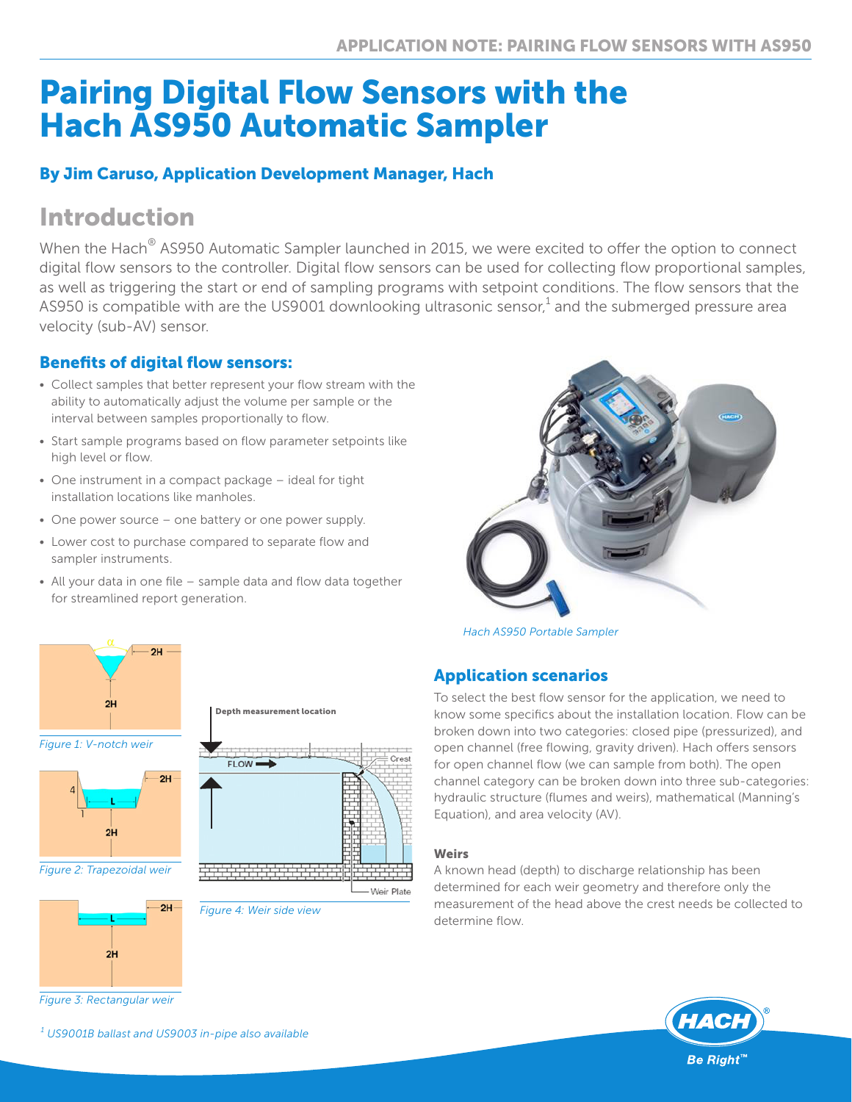# Pairing Digital Flow Sensors with the Hach AS950 Automatic Sampler

# By Jim Caruso, Application Development Manager, Hach

# Introduction

When the Hach<sup>®</sup> AS950 Automatic Sampler launched in 2015, we were excited to offer the option to connect digital flow sensors to the controller. Digital flow sensors can be used for collecting flow proportional samples, as well as triggering the start or end of sampling programs with setpoint conditions. The flow sensors that the AS950 is compatible with are the US9001 downlooking ultrasonic sensor, $^1$  and the submerged pressure area velocity (sub-AV) sensor.

# Benefits of digital flow sensors:

- Collect samples that better represent your flow stream with the ability to automatically adjust the volume per sample or the interval between samples proportionally to flow.
- Start sample programs based on flow parameter setpoints like high level or flow.
- One instrument in a compact package ideal for tight installation locations like manholes.
- One power source one battery or one power supply.
- Lower cost to purchase compared to separate flow and sampler instruments.
- All your data in one file sample data and flow data together for streamlined report generation.



*Hach AS950 Portable Sampler*

# Application scenarios

To select the best flow sensor for the application, we need to know some specifics about the installation location. Flow can be broken down into two categories: closed pipe (pressurized), and open channel (free flowing, gravity driven). Hach offers sensors for open channel flow (we can sample from both). The open channel category can be broken down into three sub-categories: hydraulic structure (flumes and weirs), mathematical (Manning's Equation), and area velocity (AV).

#### Weirs

A known head (depth) to discharge relationship has been determined for each weir geometry and therefore only the measurement of the head above the crest needs be collected to determine flow.





*Figure 1: V-notch weir*



*Figure 2: Trapezoidal weir*



*Figure 3: Rectangular weir*

*1 US9001B ballast and US9003 in-pipe also available*

Depth measurement location



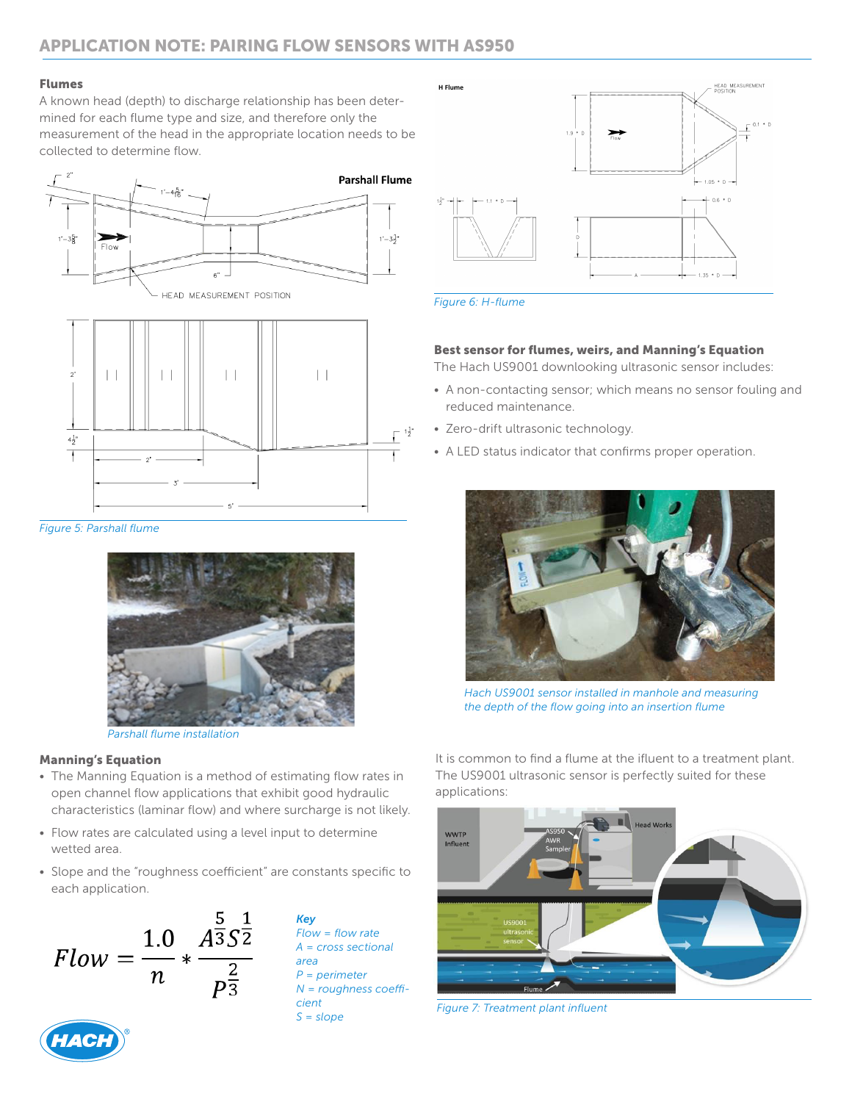#### Flumes

A known head (depth) to discharge relationship has been determined for each flume type and size, and therefore only the measurement of the head in the appropriate location needs to be collected to determine flow.





*Figure 5: Parshall flume*



*Parshall flume installation*

#### Manning's Equation

- The Manning Equation is a method of estimating flow rates in open channel flow applications that exhibit good hydraulic characteristics (laminar flow) and where surcharge is not likely.
- Flow rates are calculated using a level input to determine wetted area.
- Slope and the "roughness coefficient" are constants specific to each application.





*Key Flow = flow rate A = cross sectional area P = perimeter N = roughness coefficient S = slope*



*Figure 6: H-flume*

#### Best sensor for flumes, weirs, and Manning's Equation

The Hach US9001 downlooking ultrasonic sensor includes:

- A non-contacting sensor; which means no sensor fouling and reduced maintenance.
- Zero-drift ultrasonic technology.
- A LED status indicator that confirms proper operation.



*Hach US9001 sensor installed in manhole and measuring the depth of the flow going into an insertion flume* 

It is common to find a flume at the ifluent to a treatment plant. The US9001 ultrasonic sensor is perfectly suited for these applications:



*Figure 7: Treatment plant influent*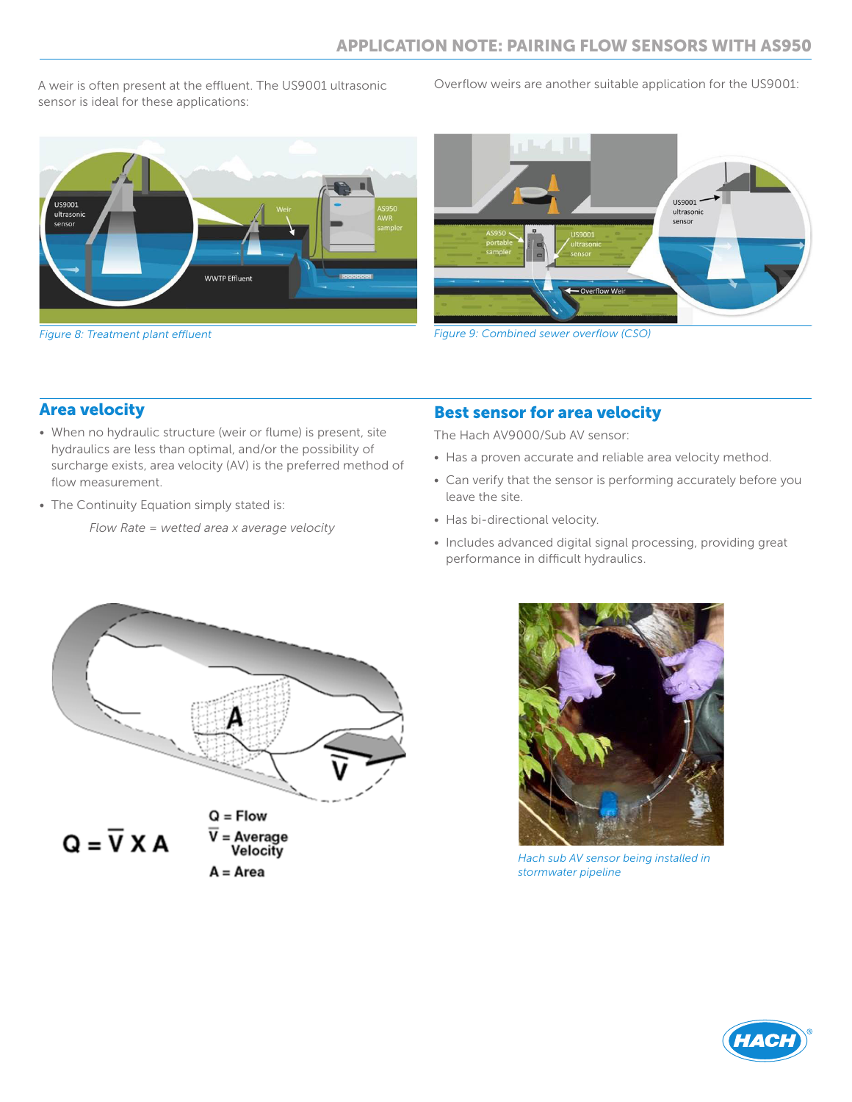A weir is often present at the effluent. The US9001 ultrasonic sensor is ideal for these applications:

Overflow weirs are another suitable application for the US9001:



*Figure 8: Treatment plant effluent*



*Figure 9: Combined sewer overflow (CSO)*

## Area velocity

- When no hydraulic structure (weir or flume) is present, site hydraulics are less than optimal, and/or the possibility of surcharge exists, area velocity (AV) is the preferred method of flow measurement.
- The Continuity Equation simply stated is:

*Flow Rate = wetted area x average velocity*

# Best sensor for area velocity

The Hach AV9000/Sub AV sensor:

- Has a proven accurate and reliable area velocity method.
- Can verify that the sensor is performing accurately before you leave the site.
- Has bi-directional velocity.
- Includes advanced digital signal processing, providing great performance in difficult hydraulics.



 $A = Area$ 



*Hach sub AV sensor being installed in stormwater pipeline*